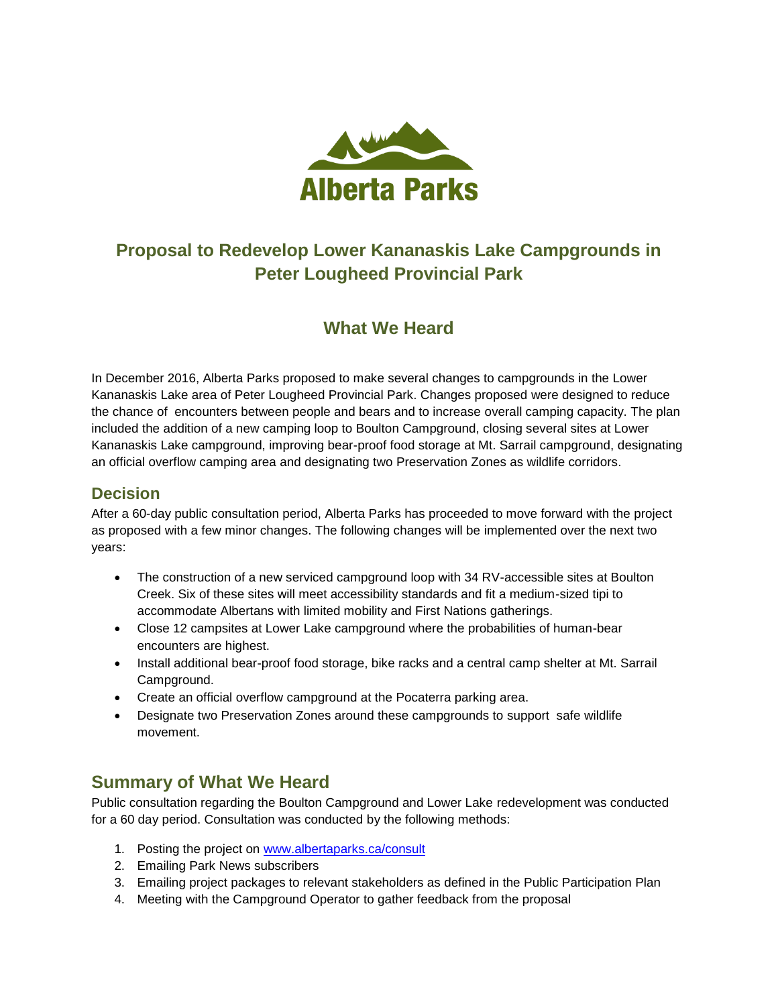

## **Proposal to Redevelop Lower Kananaskis Lake Campgrounds in Peter Lougheed Provincial Park**

## **What We Heard**

In December 2016, Alberta Parks proposed to make several changes to campgrounds in the Lower Kananaskis Lake area of Peter Lougheed Provincial Park. Changes proposed were designed to reduce the chance of encounters between people and bears and to increase overall camping capacity. The plan included the addition of a new camping loop to Boulton Campground, closing several sites at Lower Kananaskis Lake campground, improving bear-proof food storage at Mt. Sarrail campground, designating an official overflow camping area and designating two Preservation Zones as wildlife corridors.

## **Decision**

After a 60-day public consultation period, Alberta Parks has proceeded to move forward with the project as proposed with a few minor changes. The following changes will be implemented over the next two years:

- The construction of a new serviced campground loop with 34 RV-accessible sites at Boulton Creek. Six of these sites will meet accessibility standards and fit a medium-sized tipi to accommodate Albertans with limited mobility and First Nations gatherings.
- Close 12 campsites at Lower Lake campground where the probabilities of human-bear encounters are highest.
- Install additional bear-proof food storage, bike racks and a central camp shelter at Mt. Sarrail Campground.
- Create an official overflow campground at the Pocaterra parking area.
- Designate two Preservation Zones around these campgrounds to support safe wildlife movement.

## **Summary of What We Heard**

Public consultation regarding the Boulton Campground and Lower Lake redevelopment was conducted for a 60 day period. Consultation was conducted by the following methods:

- 1. Posting the project on [www.albertaparks.ca/consult](http://www.albertaparks.ca/consult)
- 2. Emailing Park News subscribers
- 3. Emailing project packages to relevant stakeholders as defined in the Public Participation Plan
- 4. Meeting with the Campground Operator to gather feedback from the proposal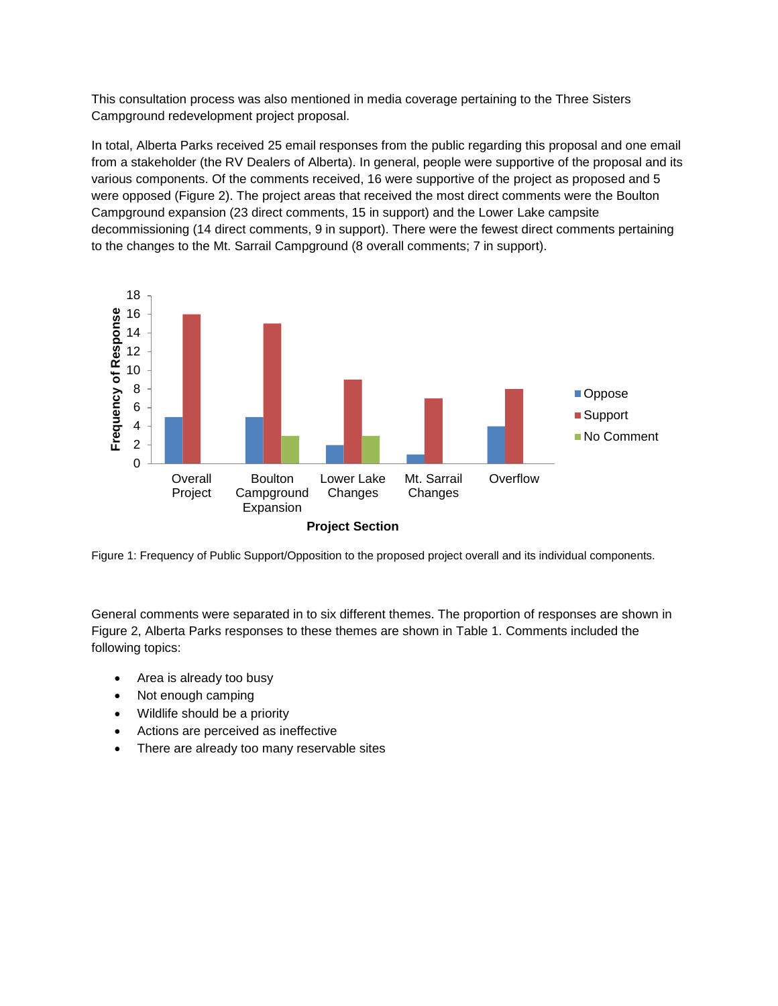This consultation process was also mentioned in media coverage pertaining to the Three Sisters Campground redevelopment project proposal.

In total, Alberta Parks received 25 email responses from the public regarding this proposal and one email from a stakeholder (the RV Dealers of Alberta). In general, people were supportive of the proposal and its various components. Of the comments received, 16 were supportive of the project as proposed and 5 were opposed (Figure 2). The project areas that received the most direct comments were the Boulton Campground expansion (23 direct comments, 15 in support) and the Lower Lake campsite decommissioning (14 direct comments, 9 in support). There were the fewest direct comments pertaining to the changes to the Mt. Sarrail Campground (8 overall comments; 7 in support).



Figure 1: Frequency of Public Support/Opposition to the proposed project overall and its individual components.

General comments were separated in to six different themes. The proportion of responses are shown in Figure 2, Alberta Parks responses to these themes are shown in Table 1. Comments included the following topics:

- Area is already too busy
- Not enough camping
- Wildlife should be a priority
- Actions are perceived as ineffective
- There are already too many reservable sites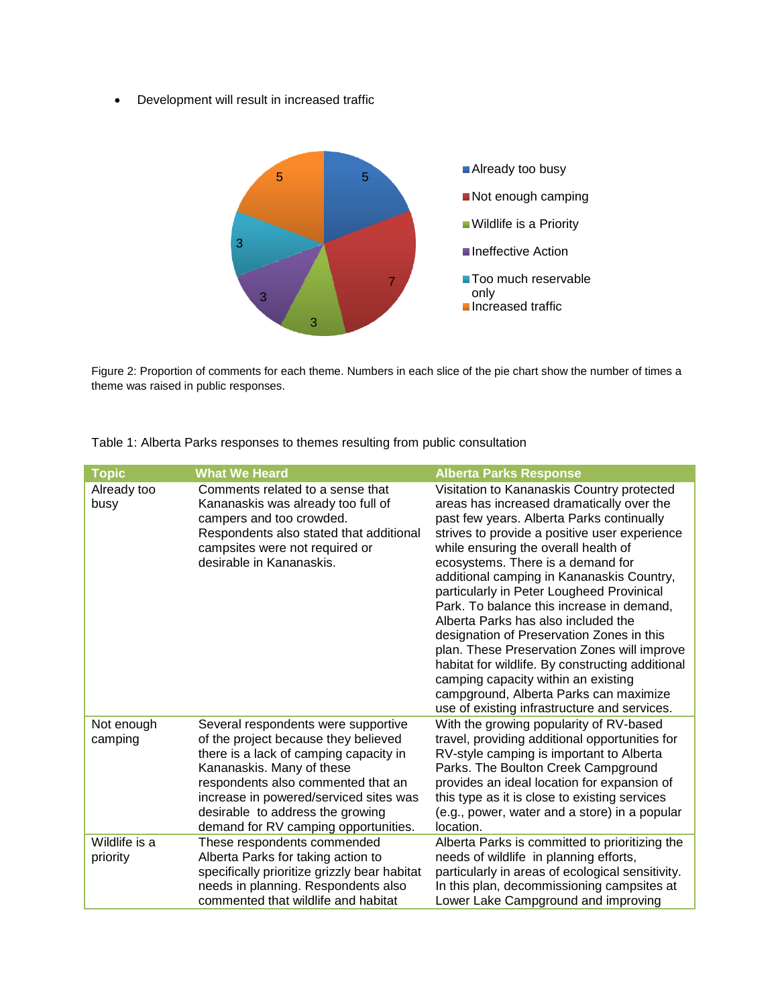Development will result in increased traffic



Figure 2: Proportion of comments for each theme. Numbers in each slice of the pie chart show the number of times a theme was raised in public responses.

| <b>Topic</b>              | <b>What We Heard</b>                                                                                                                                                                                                                                                                                           | <b>Alberta Parks Response</b>                                                                                                                                                                                                                                                                                                                                                                                                                                                                                                                                                                                                                                                                                                     |
|---------------------------|----------------------------------------------------------------------------------------------------------------------------------------------------------------------------------------------------------------------------------------------------------------------------------------------------------------|-----------------------------------------------------------------------------------------------------------------------------------------------------------------------------------------------------------------------------------------------------------------------------------------------------------------------------------------------------------------------------------------------------------------------------------------------------------------------------------------------------------------------------------------------------------------------------------------------------------------------------------------------------------------------------------------------------------------------------------|
| Already too<br>busy       | Comments related to a sense that<br>Kananaskis was already too full of<br>campers and too crowded.<br>Respondents also stated that additional<br>campsites were not required or<br>desirable in Kananaskis.                                                                                                    | Visitation to Kananaskis Country protected<br>areas has increased dramatically over the<br>past few years. Alberta Parks continually<br>strives to provide a positive user experience<br>while ensuring the overall health of<br>ecosystems. There is a demand for<br>additional camping in Kananaskis Country,<br>particularly in Peter Lougheed Provinical<br>Park. To balance this increase in demand,<br>Alberta Parks has also included the<br>designation of Preservation Zones in this<br>plan. These Preservation Zones will improve<br>habitat for wildlife. By constructing additional<br>camping capacity within an existing<br>campground, Alberta Parks can maximize<br>use of existing infrastructure and services. |
| Not enough<br>camping     | Several respondents were supportive<br>of the project because they believed<br>there is a lack of camping capacity in<br>Kananaskis. Many of these<br>respondents also commented that an<br>increase in powered/serviced sites was<br>desirable to address the growing<br>demand for RV camping opportunities. | With the growing popularity of RV-based<br>travel, providing additional opportunities for<br>RV-style camping is important to Alberta<br>Parks. The Boulton Creek Campground<br>provides an ideal location for expansion of<br>this type as it is close to existing services<br>(e.g., power, water and a store) in a popular<br>location.                                                                                                                                                                                                                                                                                                                                                                                        |
| Wildlife is a<br>priority | These respondents commended<br>Alberta Parks for taking action to<br>specifically prioritize grizzly bear habitat<br>needs in planning. Respondents also<br>commented that wildlife and habitat                                                                                                                | Alberta Parks is committed to prioritizing the<br>needs of wildlife in planning efforts,<br>particularly in areas of ecological sensitivity.<br>In this plan, decommissioning campsites at<br>Lower Lake Campground and improving                                                                                                                                                                                                                                                                                                                                                                                                                                                                                                 |

Table 1: Alberta Parks responses to themes resulting from public consultation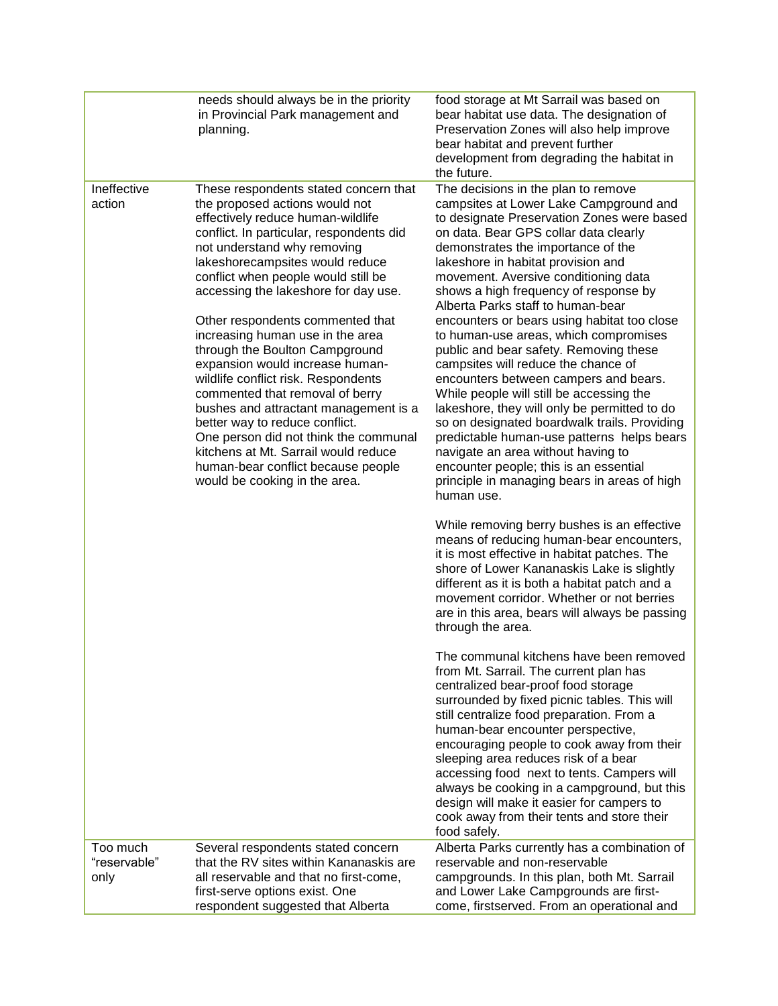|                                  | needs should always be in the priority<br>in Provincial Park management and<br>planning.                                                                                                                                                                                                                                                                                                                                                                                                                                                                                                                                                                                                                                                                            | food storage at Mt Sarrail was based on<br>bear habitat use data. The designation of<br>Preservation Zones will also help improve<br>bear habitat and prevent further<br>development from degrading the habitat in<br>the future.                                                                                                                                                                                                                                                                                                                                                                                                                                                                                                                                                                                                                                                                                                                                                                                           |
|----------------------------------|---------------------------------------------------------------------------------------------------------------------------------------------------------------------------------------------------------------------------------------------------------------------------------------------------------------------------------------------------------------------------------------------------------------------------------------------------------------------------------------------------------------------------------------------------------------------------------------------------------------------------------------------------------------------------------------------------------------------------------------------------------------------|-----------------------------------------------------------------------------------------------------------------------------------------------------------------------------------------------------------------------------------------------------------------------------------------------------------------------------------------------------------------------------------------------------------------------------------------------------------------------------------------------------------------------------------------------------------------------------------------------------------------------------------------------------------------------------------------------------------------------------------------------------------------------------------------------------------------------------------------------------------------------------------------------------------------------------------------------------------------------------------------------------------------------------|
| Ineffective<br>action            | These respondents stated concern that<br>the proposed actions would not<br>effectively reduce human-wildlife<br>conflict. In particular, respondents did<br>not understand why removing<br>lakeshorecampsites would reduce<br>conflict when people would still be<br>accessing the lakeshore for day use.<br>Other respondents commented that<br>increasing human use in the area<br>through the Boulton Campground<br>expansion would increase human-<br>wildlife conflict risk. Respondents<br>commented that removal of berry<br>bushes and attractant management is a<br>better way to reduce conflict.<br>One person did not think the communal<br>kitchens at Mt. Sarrail would reduce<br>human-bear conflict because people<br>would be cooking in the area. | The decisions in the plan to remove<br>campsites at Lower Lake Campground and<br>to designate Preservation Zones were based<br>on data. Bear GPS collar data clearly<br>demonstrates the importance of the<br>lakeshore in habitat provision and<br>movement. Aversive conditioning data<br>shows a high frequency of response by<br>Alberta Parks staff to human-bear<br>encounters or bears using habitat too close<br>to human-use areas, which compromises<br>public and bear safety. Removing these<br>campsites will reduce the chance of<br>encounters between campers and bears.<br>While people will still be accessing the<br>lakeshore, they will only be permitted to do<br>so on designated boardwalk trails. Providing<br>predictable human-use patterns helps bears<br>navigate an area without having to<br>encounter people; this is an essential<br>principle in managing bears in areas of high<br>human use.<br>While removing berry bushes is an effective<br>means of reducing human-bear encounters, |
|                                  |                                                                                                                                                                                                                                                                                                                                                                                                                                                                                                                                                                                                                                                                                                                                                                     | it is most effective in habitat patches. The<br>shore of Lower Kananaskis Lake is slightly<br>different as it is both a habitat patch and a<br>movement corridor. Whether or not berries<br>are in this area, bears will always be passing<br>through the area.                                                                                                                                                                                                                                                                                                                                                                                                                                                                                                                                                                                                                                                                                                                                                             |
|                                  |                                                                                                                                                                                                                                                                                                                                                                                                                                                                                                                                                                                                                                                                                                                                                                     | The communal kitchens have been removed<br>from Mt. Sarrail. The current plan has<br>centralized bear-proof food storage<br>surrounded by fixed picnic tables. This will<br>still centralize food preparation. From a<br>human-bear encounter perspective,<br>encouraging people to cook away from their<br>sleeping area reduces risk of a bear<br>accessing food next to tents. Campers will<br>always be cooking in a campground, but this<br>design will make it easier for campers to<br>cook away from their tents and store their<br>food safely.                                                                                                                                                                                                                                                                                                                                                                                                                                                                    |
| Too much<br>"reservable"<br>only | Several respondents stated concern<br>that the RV sites within Kananaskis are<br>all reservable and that no first-come,<br>first-serve options exist. One<br>respondent suggested that Alberta                                                                                                                                                                                                                                                                                                                                                                                                                                                                                                                                                                      | Alberta Parks currently has a combination of<br>reservable and non-reservable<br>campgrounds. In this plan, both Mt. Sarrail<br>and Lower Lake Campgrounds are first-<br>come, firstserved. From an operational and                                                                                                                                                                                                                                                                                                                                                                                                                                                                                                                                                                                                                                                                                                                                                                                                         |